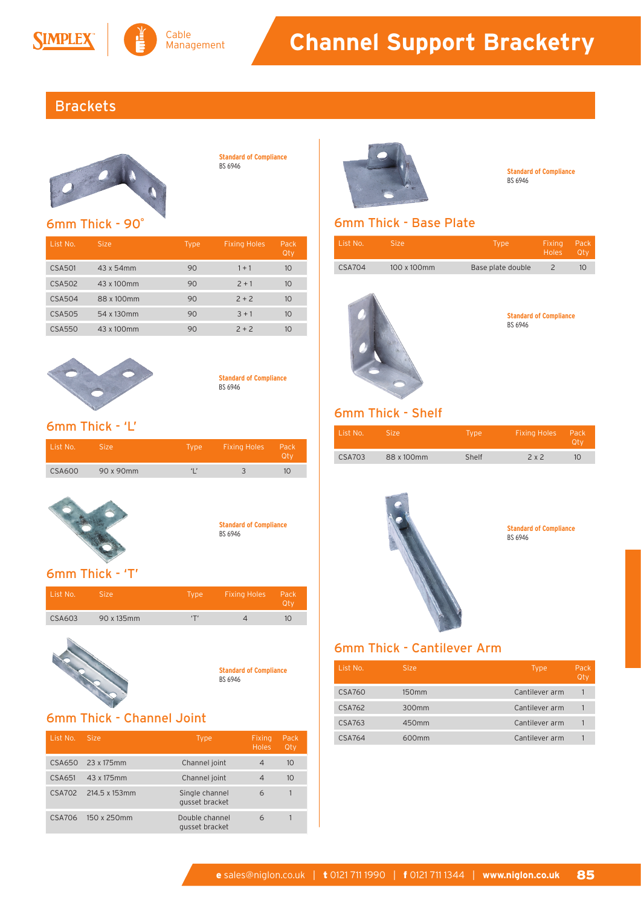



# **Channel Support Bracketry**

## **Brackets**



**Standard of Compliance** BS 6946

## 6mm Thick - 90°

| List No.      | <b>Size</b> | <b>Type</b> | <b>Fixing Holes</b> | Pack<br>Qty |
|---------------|-------------|-------------|---------------------|-------------|
| <b>CSA501</b> | 43 x 54mm   | 90          | $1 + 1$             | 10          |
| CSA502        | 43 x 100mm  | 90          | $2 + 1$             | 10          |
| <b>CSA504</b> | 88 x 100mm  | 90          | $2 + 2$             | 10          |
| CSA505        | 54 x 130mm  | 90          | $3 + 1$             | 10          |
| <b>CSA550</b> | 43 x 100mm  | 90          | $2 + 2$             | 10          |



**Standard of Compliance** BS 6946

## 6mm Thick - 'L'

| List No.      | Size      | <b>Type</b> | <b>Fixing Holes</b> | Pack |
|---------------|-----------|-------------|---------------------|------|
| <b>CSA600</b> | 90 x 90mm |             |                     | 10   |



**Standard of Compliance** BS 6946

## 6mm Thick - 'T'

| List No. | Size:      | <b>Type</b> | <b>Fixing Holes</b> | Pack |
|----------|------------|-------------|---------------------|------|
| CSA603   | 90 x 135mm |             |                     | ו זו |



**Standard of Compliance** BS 6946

## 6mm Thick - Channel Joint

| List No.      | <b>Size</b>   | <b>Type</b>                      | Fixing<br><b>Holes</b> | Pack<br>Qty |
|---------------|---------------|----------------------------------|------------------------|-------------|
| CSA650        | 23 x 175mm    | Channel joint                    | $\overline{4}$         | 10          |
| CSA651        | 43 x 175mm    | Channel joint                    | 4                      | 10          |
| <b>CSA702</b> | 214.5 x 153mm | Single channel<br>qusset bracket | 6                      |             |
| CSA706        | 150 x 250mm   | Double channel<br>qusset bracket | 6                      |             |



**Standard of Compliance** BS 6946

## 6mm Thick - Base Plate

| List No. | Size        | Type              | Fixing Pack<br>Holes Otv |  |
|----------|-------------|-------------------|--------------------------|--|
| CSA704   | 100 x 100mm | Base plate double |                          |  |



**Standard of Compliance** BS 6946

## 6mm Thick - Shelf

| List No. | <b>Size</b> | <b>Type</b> | <b>Fixing Holes</b> | Pack,<br>Otv |
|----------|-------------|-------------|---------------------|--------------|
| CSA703   | 88 x 100mm  | Shelf       | 2x2                 | 10           |



**Standard of Compliance** BS 6946

## 6mm Thick - Cantilever Arm

| List No. | <b>Size</b>       | <b>Type</b>    | Pack<br>Qtv |
|----------|-------------------|----------------|-------------|
| CSA760   | 150 <sub>mm</sub> | Cantilever arm |             |
| CSA762   | 300mm             | Cantilever arm |             |
| CSA763   | 450mm             | Cantilever arm |             |
| CSA764   | 600mm             | Cantilever arm |             |